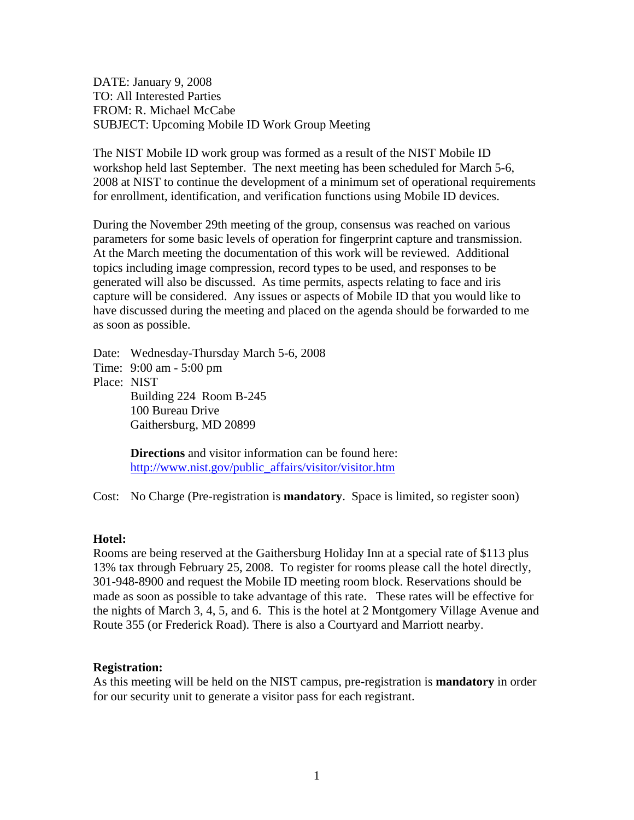DATE: January 9, 2008 TO: All Interested Parties FROM: R. Michael McCabe SUBJECT: Upcoming Mobile ID Work Group Meeting

The NIST Mobile ID work group was formed as a result of the NIST Mobile ID workshop held last September. The next meeting has been scheduled for March 5-6, 2008 at NIST to continue the development of a minimum set of operational requirements for enrollment, identification, and verification functions using Mobile ID devices.

During the November 29th meeting of the group, consensus was reached on various parameters for some basic levels of operation for fingerprint capture and transmission. At the March meeting the documentation of this work will be reviewed. Additional topics including image compression, record types to be used, and responses to be generated will also be discussed. As time permits, aspects relating to face and iris capture will be considered. Any issues or aspects of Mobile ID that you would like to have discussed during the meeting and placed on the agenda should be forwarded to me as soon as possible.

Date: Wednesday-Thursday March 5-6, 2008 Time: 9:00 am - 5:00 pm Place: NIST Building 224 Room B-245 100 Bureau Drive Gaithersburg, MD 20899

> **Directions** and visitor information can be found here: [http://www.nist.gov/public\\_affairs/visitor/visitor.htm](http://www.nist.gov/public_affairs/visitor/visitor.htm)

Cost: No Charge (Pre-registration is **mandatory**. Space is limited, so register soon)

## **Hotel:**

Rooms are being reserved at the Gaithersburg Holiday Inn at a special rate of \$113 plus 13% tax through February 25, 2008. To register for rooms please call the hotel directly, 301-948-8900 and request the Mobile ID meeting room block. Reservations should be made as soon as possible to take advantage of this rate. These rates will be effective for the nights of March 3, 4, 5, and 6. This is the hotel at 2 Montgomery Village Avenue and Route 355 (or Frederick Road). There is also a Courtyard and Marriott nearby.

## **Registration:**

As this meeting will be held on the NIST campus, pre-registration is **mandatory** in order for our security unit to generate a visitor pass for each registrant.